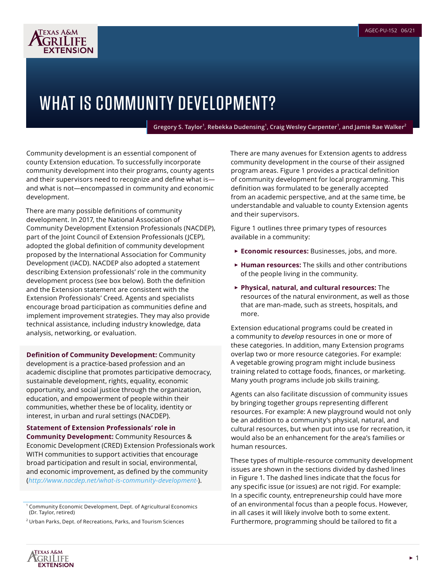

## WHAT IS COMMUNITY DEVELOPMENT?

**Gregory S. Taylor<sup>1</sup> , Rebekka Dudensing<sup>1</sup> , Craig Wesley Carpenter<sup>1</sup> , and Jamie Rae Walker<sup>2</sup>**

Community development is an essential component of county Extension education. To successfully incorporate community development into their programs, county agents and their supervisors need to recognize and define what is and what is not—encompassed in community and economic development.

There are many possible definitions of community development. In 2017, the National Association of Community Development Extension Professionals (NACDEP), part of the Joint Council of Extension Professionals (JCEP), adopted the global definition of community development proposed by the International Association for Community Development (IACD). NACDEP also adopted a statement describing Extension professionals' role in the community development process (see box below). Both the definition and the Extension statement are consistent with the Extension Professionals' Creed. Agents and specialists encourage broad participation as communities define and implement improvement strategies. They may also provide technical assistance, including industry knowledge, data analysis, networking, or evaluation.

**Definition of Community Development:** Community development is a practice-based profession and an academic discipline that promotes participative democracy, sustainable development, rights, equality, economic opportunity, and social justice through the organization, education, and empowerment of people within their communities, whether these be of locality, identity or interest, in urban and rural settings (NACDEP).

**Statement of Extension Professionals' role in Community Development:** Community Resources & Economic Development (CRED) Extension Professionals work WITH communities to support activities that encourage broad participation and result in social, environmental, and economic improvement, as defined by the community (*<http://www.nacdep.net/what-is-community-development->*).

There are many avenues for Extension agents to address community development in the course of their assigned program areas. Figure 1 provides a practical definition of community development for local programming. This definition was formulated to be generally accepted from an academic perspective, and at the same time, be understandable and valuable to county Extension agents and their supervisors.

Figure 1 outlines three primary types of resources available in a community:

- ► **Economic resources:** Businesses, jobs, and more.
- ► **Human resources:** The skills and other contributions of the people living in the community.
- ► **Physical, natural, and cultural resources:** The resources of the natural environment, as well as those that are man-made, such as streets, hospitals, and more.

Extension educational programs could be created in a community to *develop* resources in one or more of these categories. In addition, many Extension programs overlap two or more resource categories. For example: A vegetable growing program might include business training related to cottage foods, finances, or marketing. Many youth programs include job skills training.

Agents can also facilitate discussion of community issues by bringing together groups representing different resources. For example: A new playground would not only be an addition to a community's physical, natural, and cultural resources, but when put into use for recreation, it would also be an enhancement for the area's families or human resources.

These types of multiple-resource community development issues are shown in the sections divided by dashed lines in Figure 1. The dashed lines indicate that the focus for any specific issue (or issues) are not rigid. For example: In a specific county, entrepreneurship could have more of an environmental focus than a people focus. However, in all cases it will likely involve both to some extent. Furthermore, programming should be tailored to fit a



<sup>&</sup>lt;sup>1</sup> Community Economic Development, Dept. of Agricultural Economics (Dr. Taylor, retired)

<sup>2</sup> Urban Parks, Dept. of Recreations, Parks, and Tourism Sciences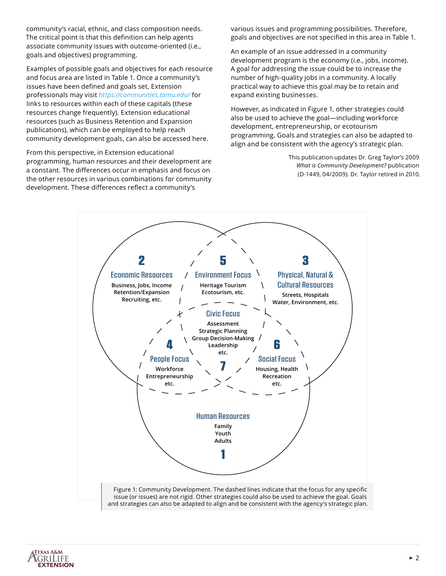community's racial, ethnic, and class composition needs. The critical point is that this definition can help agents associate community issues with outcome-oriented (i.e., goals and objectives) programming.

Examples of possible goals and objectives for each resource and focus area are listed in Table 1. Once a community's issues have been defined and goals set, Extension professionals may visit *<https://communities.tamu.edu/>* for links to resources within each of these capitals (these resources change frequently). Extension educational resources (such as Business Retention and Expansion publications), which can be employed to help reach community development goals, can also be accessed here.

From this perspective, in Extension educational programming, human resources and their development are a constant. The differences occur in emphasis and focus on the other resources in various combinations for community development. These differences reflect a community's

various issues and programming possibilities. Therefore, goals and objectives are not specified in this area in Table 1.

An example of an issue addressed in a community development program is the economy (i.e., jobs, income). A goal for addressing the issue could be to increase the number of high-quality jobs in a community. A locally practical way to achieve this goal may be to retain and expand existing businesses.

However, as indicated in Figure 1, other strategies could also be used to achieve the goal—including workforce development, entrepreneurship, or ecotourism programming. Goals and strategies can also be adapted to align and be consistent with the agency's strategic plan.

> This publication updates Dr. Greg Taylor's 2009 *What is Community Development?* publication (D-1449, 04/2009). Dr. Taylor retired in 2010.